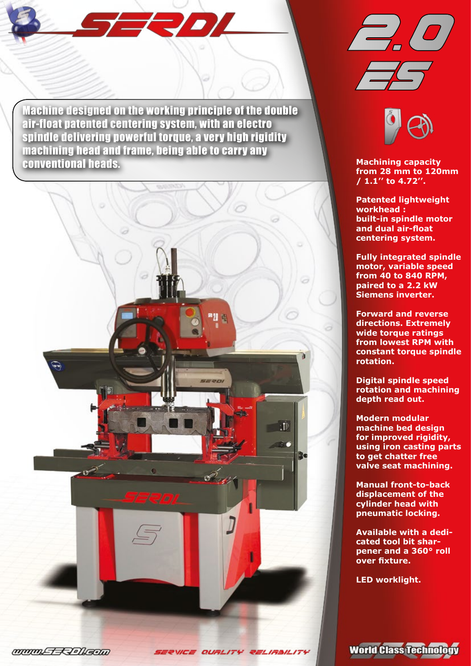Machine designed on the working principle of the double air-float patented centering system, with an electro spindle delivering powerful torque, a very high rigidity machining head and frame, being able to carry any conventional heads. **Machining capacity** 

 $\pm$ Joy









**from 28 mm to 120mm / 1.1'' to 4.72''.**

**Patented lightweight workhead : built-in spindle motor and dual air-float centering system.**

**Fully integrated spindle motor, variable speed from 40 to 840 RPM, paired to a 2.2 kW Siemens inverter.** 

**Forward and reverse directions. Extremely wide torque ratings from lowest RPM with constant torque spindle rotation.**

**Digital spindle speed rotation and machining depth read out.**

**Modern modular machine bed design for improved rigidity, using iron casting parts to get chatter free valve seat machining.**

**Manual front-to-back displacement of the cylinder head with pneumatic locking.**

**Available with a dedicated tool bit sharpener and a 360° roll over fixture.**

**LED worklight.**